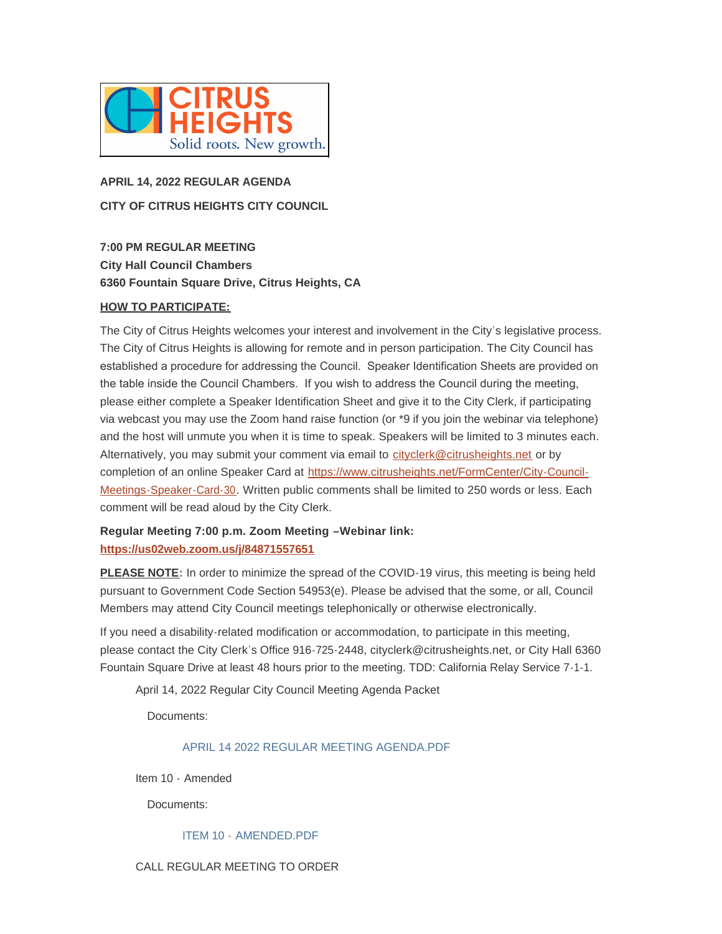

# **APRIL 14, 2022 REGULAR AGENDA CITY OF CITRUS HEIGHTS CITY COUNCIL**

**7:00 PM REGULAR MEETING City Hall Council Chambers 6360 Fountain Square Drive, Citrus Heights, CA**

## **HOW TO PARTICIPATE:**

The City of Citrus Heights welcomes your interest and involvement in the City's legislative process. The City of Citrus Heights is allowing for remote and in person participation. The City Council has established a procedure for addressing the Council. Speaker Identification Sheets are provided on the table inside the Council Chambers. If you wish to address the Council during the meeting, please either complete a Speaker Identification Sheet and give it to the City Clerk, if participating via webcast you may use the Zoom hand raise function (or \*9 if you join the webinar via telephone) and the host will unmute you when it is time to speak. Speakers will be limited to 3 minutes each. Alternatively, you may submit your comment via email to [cityclerk@citrusheights.net](mailto:cityclerk@citrusheights.net) or by completion of an online Speaker Card at https://www.citrusheights.net/FormCenter/City-Council-Meetings-Speaker-Card-30. Written publ[ic comments shall be limited to 250 words or less. Each](https://www.citrusheights.net/FormCenter/City-Council-Meetings-Speaker-Card-30)  comment will be read aloud by the City Clerk.

# **[Regular Meeting 7:00 p.m. Zoom Meeti](https://us02web.zoom.us/j/84871557651)ng –Webinar link: https://us02web.zoom.us/j/84871557651**

**PLEASE NOTE:** In order to minimize the spread of the COVID-19 virus, this meeting is being held pursuant to Government Code Section 54953(e). Please be advised that the some, or all, Council Members may attend City Council meetings telephonically or otherwise electronically.

If you need a disability-related modification or accommodation, to participate in this meeting, please contact the City Clerk's Office 916-725-2448, cityclerk@citrusheights.net, or City Hall 6360 Fountain Square Drive at least 48 hours prior to the meeting. TDD: California Relay Service 7-1-1.

April 14, 2022 Regular City Council Meeting Agenda Packet

Documents:

# [APRIL 14 2022 REGULAR MEETING AGENDA.PDF](http://www.citrusheights.net/AgendaCenter/ViewFile/Item/6686?fileID=34832)

Item 10 - Amended

Documents:

# ITEM 10 - [AMENDED.PDF](http://www.citrusheights.net/AgendaCenter/ViewFile/Item/6687?fileID=34835)

#### CALL REGULAR MEETING TO ORDER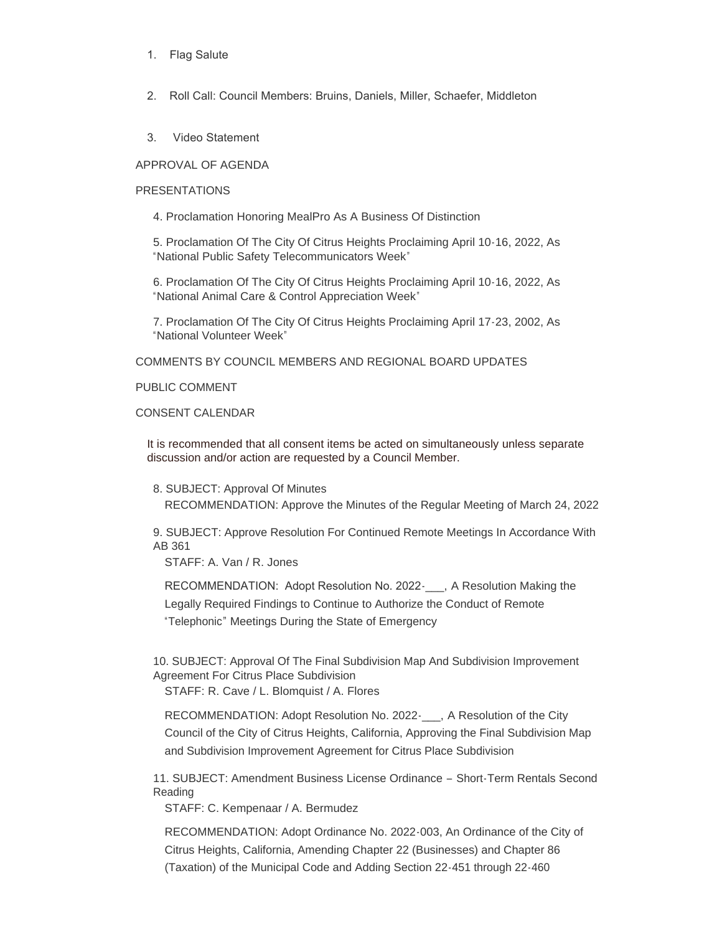- 1. Flag Salute
- 2. Roll Call: Council Members: Bruins, Daniels, Miller, Schaefer, Middleton
- 3. Video Statement

APPROVAL OF AGENDA

#### PRESENTATIONS

4. Proclamation Honoring MealPro As A Business Of Distinction

5. Proclamation Of The City Of Citrus Heights Proclaiming April 10-16, 2022, As "National Public Safety Telecommunicators Week"

6. Proclamation Of The City Of Citrus Heights Proclaiming April 10-16, 2022, As "National Animal Care & Control Appreciation Week"

7. Proclamation Of The City Of Citrus Heights Proclaiming April 17-23, 2002, As "National Volunteer Week"

COMMENTS BY COUNCIL MEMBERS AND REGIONAL BOARD UPDATES

PUBLIC COMMENT

## CONSENT CALENDAR

It is recommended that all consent items be acted on simultaneously unless separate discussion and/or action are requested by a Council Member.

8. SUBJECT: Approval Of Minutes RECOMMENDATION: Approve the Minutes of the Regular Meeting of March 24, 2022

9. SUBJECT: Approve Resolution For Continued Remote Meetings In Accordance With AB 361

STAFF: A. Van / R. Jones

RECOMMENDATION: Adopt Resolution No. 2022-\_\_\_, A Resolution Making the Legally Required Findings to Continue to Authorize the Conduct of Remote "Telephonic" Meetings During the State of Emergency

10. SUBJECT: Approval Of The Final Subdivision Map And Subdivision Improvement Agreement For Citrus Place Subdivision

STAFF: R. Cave / L. Blomquist / A. Flores

RECOMMENDATION: Adopt Resolution No. 2022- A Resolution of the City Council of the City of Citrus Heights, California, Approving the Final Subdivision Map and Subdivision Improvement Agreement for Citrus Place Subdivision

11. SUBJECT: Amendment Business License Ordinance – Short-Term Rentals Second Reading

STAFF: C. Kempenaar / A. Bermudez

RECOMMENDATION: Adopt Ordinance No. 2022-003, An Ordinance of the City of Citrus Heights, California, Amending Chapter 22 (Businesses) and Chapter 86 (Taxation) of the Municipal Code and Adding Section 22-451 through 22-460